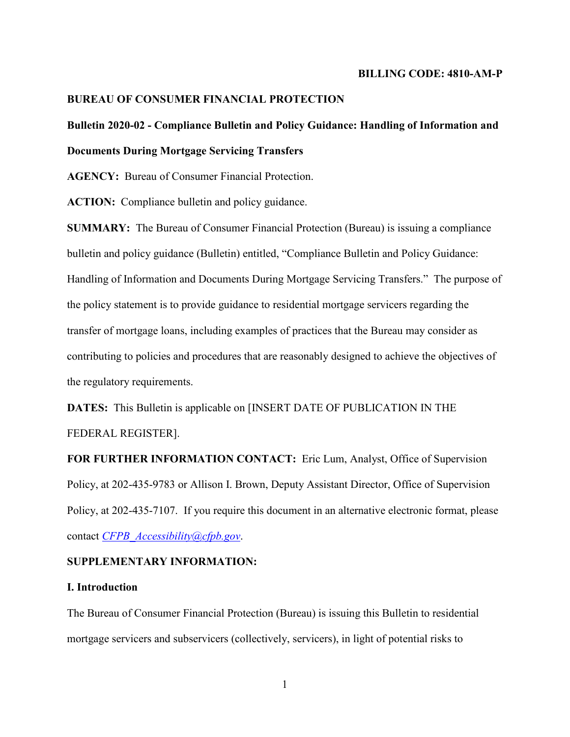#### **BILLING CODE: 4810-AM-P**

### **BUREAU OF CONSUMER FINANCIAL PROTECTION**

# **Bulletin 2020-02 - Compliance Bulletin and Policy Guidance: Handling of Information and Documents During Mortgage Servicing Transfers**

**AGENCY:** Bureau of Consumer Financial Protection.

**ACTION:** Compliance bulletin and policy guidance.

**SUMMARY:** The Bureau of Consumer Financial Protection (Bureau) is issuing a compliance bulletin and policy guidance (Bulletin) entitled, "Compliance Bulletin and Policy Guidance: Handling of Information and Documents During Mortgage Servicing Transfers." The purpose of the policy statement is to provide guidance to residential mortgage servicers regarding the transfer of mortgage loans, including examples of practices that the Bureau may consider as contributing to policies and procedures that are reasonably designed to achieve the objectives of the regulatory requirements.

**DATES:** This Bulletin is applicable on [INSERT DATE OF PUBLICATION IN THE FEDERAL REGISTER].

**FOR FURTHER INFORMATION CONTACT:** Eric Lum, Analyst, Office of Supervision Policy, at 202-435-9783 or Allison I. Brown, Deputy Assistant Director, Office of Supervision Policy, at 202-435-7107. If you require this document in an alternative electronic format, please contact *[CFPB\\_Accessibility@cfpb.gov](mailto:CFPB_Accessibility@cfpb.gov)*.

### **SUPPLEMENTARY INFORMATION:**

#### **I. Introduction**

The Bureau of Consumer Financial Protection (Bureau) is issuing this Bulletin to residential mortgage servicers and subservicers (collectively, servicers), in light of potential risks to

1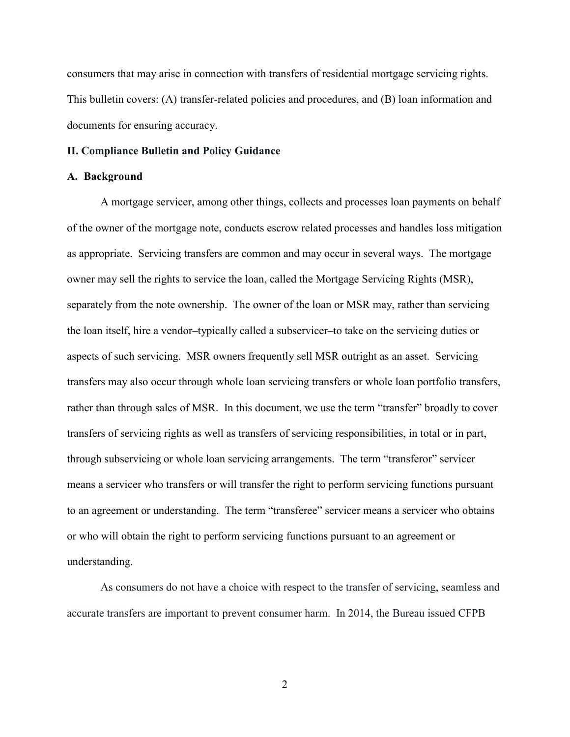consumers that may arise in connection with transfers of residential mortgage servicing rights. This bulletin covers: (A) transfer-related policies and procedures, and (B) loan information and documents for ensuring accuracy.

#### **II. Compliance Bulletin and Policy Guidance**

#### **A. Background**

A mortgage servicer, among other things, collects and processes loan payments on behalf of the owner of the mortgage note, conducts escrow related processes and handles loss mitigation as appropriate. Servicing transfers are common and may occur in several ways. The mortgage owner may sell the rights to service the loan, called the Mortgage Servicing Rights (MSR), separately from the note ownership. The owner of the loan or MSR may, rather than servicing the loan itself, hire a vendor–typically called a subservicer–to take on the servicing duties or aspects of such servicing. MSR owners frequently sell MSR outright as an asset. Servicing transfers may also occur through whole loan servicing transfers or whole loan portfolio transfers, rather than through sales of MSR. In this document, we use the term "transfer" broadly to cover transfers of servicing rights as well as transfers of servicing responsibilities, in total or in part, through subservicing or whole loan servicing arrangements. The term "transferor" servicer means a servicer who transfers or will transfer the right to perform servicing functions pursuant to an agreement or understanding. The term "transferee" servicer means a servicer who obtains or who will obtain the right to perform servicing functions pursuant to an agreement or understanding.

As consumers do not have a choice with respect to the transfer of servicing, seamless and accurate transfers are important to prevent consumer harm. In 2014, the Bureau issued CFPB

2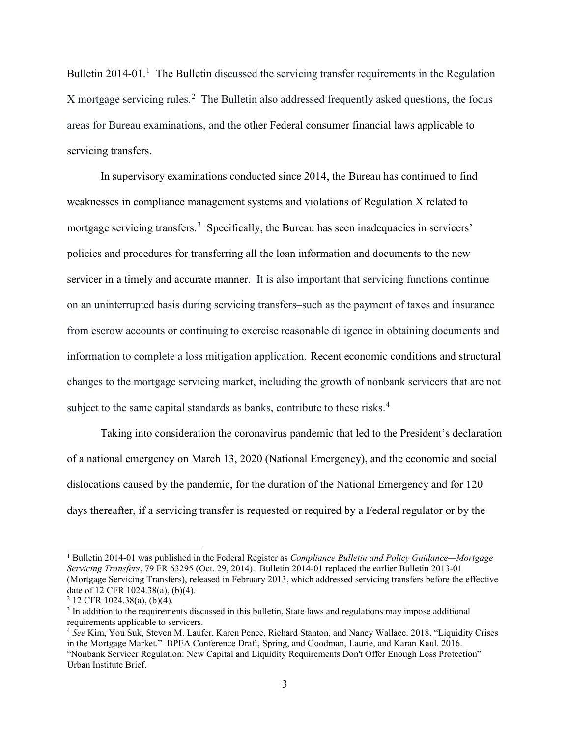Bulletin 20[1](#page-2-0)4-01.<sup>1</sup> The Bulletin discussed the servicing transfer requirements in the Regulation X mortgage servicing rules. [2](#page-2-1) The Bulletin also addressed frequently asked questions, the focus areas for Bureau examinations, and the other Federal consumer financial laws applicable to servicing transfers.

In supervisory examinations conducted since 2014, the Bureau has continued to find weaknesses in compliance management systems and violations of Regulation X related to mortgage servicing transfers.<sup>[3](#page-2-2)</sup> Specifically, the Bureau has seen inadequacies in servicers' policies and procedures for transferring all the loan information and documents to the new servicer in a timely and accurate manner. It is also important that servicing functions continue on an uninterrupted basis during servicing transfers–such as the payment of taxes and insurance from escrow accounts or continuing to exercise reasonable diligence in obtaining documents and information to complete a loss mitigation application. Recent economic conditions and structural changes to the mortgage servicing market, including the growth of nonbank servicers that are not subject to the same capital standards as banks, contribute to these risks.<sup>[4](#page-2-3)</sup>

Taking into consideration the coronavirus pandemic that led to the President's declaration of a national emergency on March 13, 2020 (National Emergency), and the economic and social dislocations caused by the pandemic, for the duration of the National Emergency and for 120 days thereafter, if a servicing transfer is requested or required by a Federal regulator or by the

<span id="page-2-0"></span> <sup>1</sup> Bulletin 2014-01 was published in the Federal Register as *Compliance Bulletin and Policy Guidance—Mortgage Servicing Transfers*, 79 FR 63295 (Oct. 29, 2014). Bulletin 2014-01 replaced the earlier Bulletin 2013-01 (Mortgage Servicing Transfers), released in February 2013, which addressed servicing transfers before the effective date of 12 CFR 1024.38(a), (b)(4).

<span id="page-2-1"></span> $2$  12 CFR 1024.38(a), (b)(4).

<span id="page-2-2"></span><sup>&</sup>lt;sup>3</sup> In addition to the requirements discussed in this bulletin, State laws and regulations may impose additional requirements applicable to servicers.

<span id="page-2-3"></span><sup>4</sup> *See* Kim, You Suk, Steven M. Laufer, Karen Pence, Richard Stanton, and Nancy Wallace. 2018. "Liquidity Crises in the Mortgage Market." BPEA Conference Draft, Spring, and Goodman, Laurie, and Karan Kaul. 2016. "Nonbank Servicer Regulation: New Capital and Liquidity Requirements Don't Offer Enough Loss Protection" Urban Institute Brief.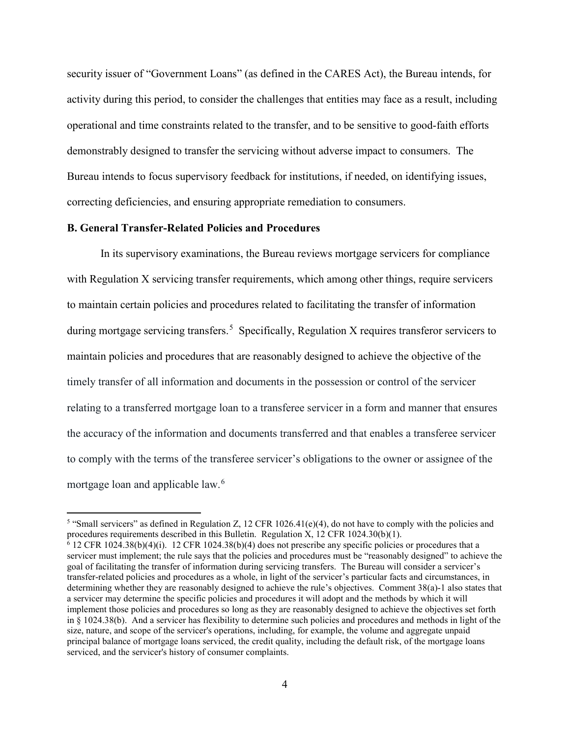security issuer of "Government Loans" (as defined in the CARES Act), the Bureau intends, for activity during this period, to consider the challenges that entities may face as a result, including operational and time constraints related to the transfer, and to be sensitive to good-faith efforts demonstrably designed to transfer the servicing without adverse impact to consumers. The Bureau intends to focus supervisory feedback for institutions, if needed, on identifying issues, correcting deficiencies, and ensuring appropriate remediation to consumers.

### **B. General Transfer-Related Policies and Procedures**

In its supervisory examinations, the Bureau reviews mortgage servicers for compliance with Regulation X servicing transfer requirements, which among other things, require servicers to maintain certain policies and procedures related to facilitating the transfer of information during mortgage servicing transfers.<sup>[5](#page-3-0)</sup> Specifically, Regulation X requires transferor servicers to maintain policies and procedures that are reasonably designed to achieve the objective of the timely transfer of all information and documents in the possession or control of the servicer relating to a transferred mortgage loan to a transferee servicer in a form and manner that ensures the accuracy of the information and documents transferred and that enables a transferee servicer to comply with the terms of the transferee servicer's obligations to the owner or assignee of the mortgage loan and applicable law. [6](#page-3-1)

<span id="page-3-0"></span><sup>&</sup>lt;sup>5</sup> "Small servicers" as defined in Regulation Z, 12 CFR 1026.41(e)(4), do not have to comply with the policies and procedures requirements described in this Bulletin. Regulation X, 12 CFR 1024.30(b)(1).

<span id="page-3-1"></span> $6$  12 CFR 1024.38(b)(4)(i). 12 CFR 1024.38(b)(4) does not prescribe any specific policies or procedures that a servicer must implement; the rule says that the policies and procedures must be "reasonably designed" to achieve the goal of facilitating the transfer of information during servicing transfers. The Bureau will consider a servicer's transfer-related policies and procedures as a whole, in light of the servicer's particular facts and circumstances, in determining whether they are reasonably designed to achieve the rule's objectives. Comment 38(a)-1 also states that a servicer may determine the specific policies and procedures it will adopt and the methods by which it will implement those policies and procedures so long as they are reasonably designed to achieve the objectives set forth in § 1024.38(b). And a servicer has flexibility to determine such policies and procedures and methods in light of the size, nature, and scope of the servicer's operations, including, for example, the volume and aggregate unpaid principal balance of mortgage loans serviced, the credit quality, including the default risk, of the mortgage loans serviced, and the servicer's history of consumer complaints.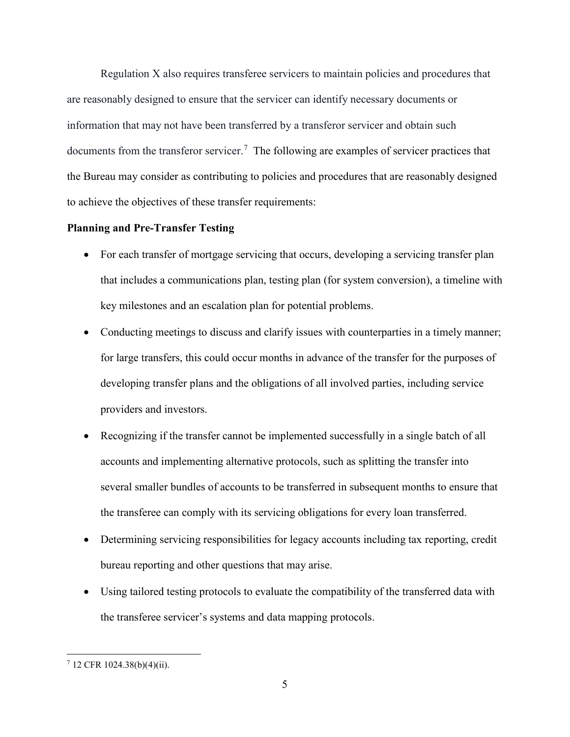Regulation X also requires transferee servicers to maintain policies and procedures that are reasonably designed to ensure that the servicer can identify necessary documents or information that may not have been transferred by a transferor servicer and obtain such documents from the transferor servicer.<sup>[7](#page-4-0)</sup> The following are examples of servicer practices that the Bureau may consider as contributing to policies and procedures that are reasonably designed to achieve the objectives of these transfer requirements:

#### **Planning and Pre-Transfer Testing**

- For each transfer of mortgage servicing that occurs, developing a servicing transfer plan that includes a communications plan, testing plan (for system conversion), a timeline with key milestones and an escalation plan for potential problems.
- Conducting meetings to discuss and clarify issues with counterparties in a timely manner; for large transfers, this could occur months in advance of the transfer for the purposes of developing transfer plans and the obligations of all involved parties, including service providers and investors.
- Recognizing if the transfer cannot be implemented successfully in a single batch of all accounts and implementing alternative protocols, such as splitting the transfer into several smaller bundles of accounts to be transferred in subsequent months to ensure that the transferee can comply with its servicing obligations for every loan transferred.
- Determining servicing responsibilities for legacy accounts including tax reporting, credit bureau reporting and other questions that may arise.
- Using tailored testing protocols to evaluate the compatibility of the transferred data with the transferee servicer's systems and data mapping protocols.

<span id="page-4-0"></span> <sup>7</sup> 12 CFR 1024.38(b)(4)(ii).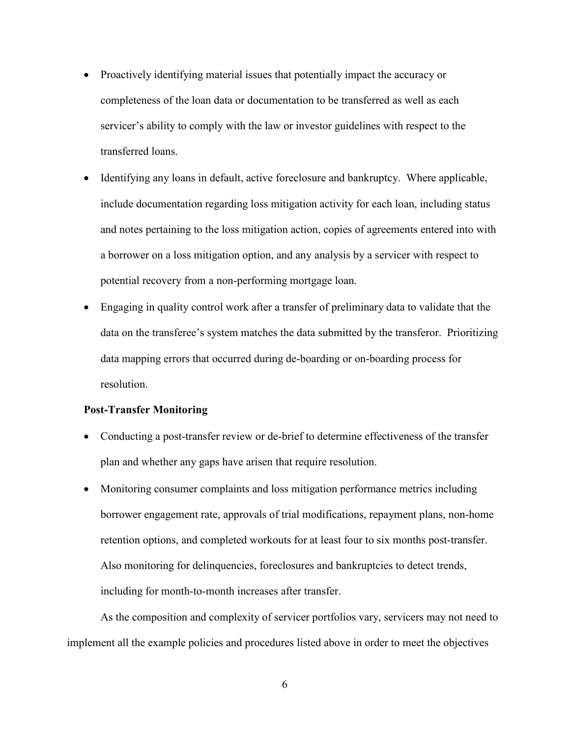- Proactively identifying material issues that potentially impact the accuracy or completeness of the loan data or documentation to be transferred as well as each servicer's ability to comply with the law or investor guidelines with respect to the transferred loans.
- Identifying any loans in default, active foreclosure and bankruptcy. Where applicable, include documentation regarding loss mitigation activity for each loan, including status and notes pertaining to the loss mitigation action, copies of agreements entered into with a borrower on a loss mitigation option, and any analysis by a servicer with respect to potential recovery from a non-performing mortgage loan.
- Engaging in quality control work after a transfer of preliminary data to validate that the data on the transferee's system matches the data submitted by the transferor. Prioritizing data mapping errors that occurred during de-boarding or on-boarding process for resolution.

#### **Post-Transfer Monitoring**

- Conducting a post-transfer review or de-brief to determine effectiveness of the transfer plan and whether any gaps have arisen that require resolution.
- Monitoring consumer complaints and loss mitigation performance metrics including borrower engagement rate, approvals of trial modifications, repayment plans, non-home retention options, and completed workouts for at least four to six months post-transfer. Also monitoring for delinquencies, foreclosures and bankruptcies to detect trends, including for month-to-month increases after transfer.

As the composition and complexity of servicer portfolios vary, servicers may not need to implement all the example policies and procedures listed above in order to meet the objectives

6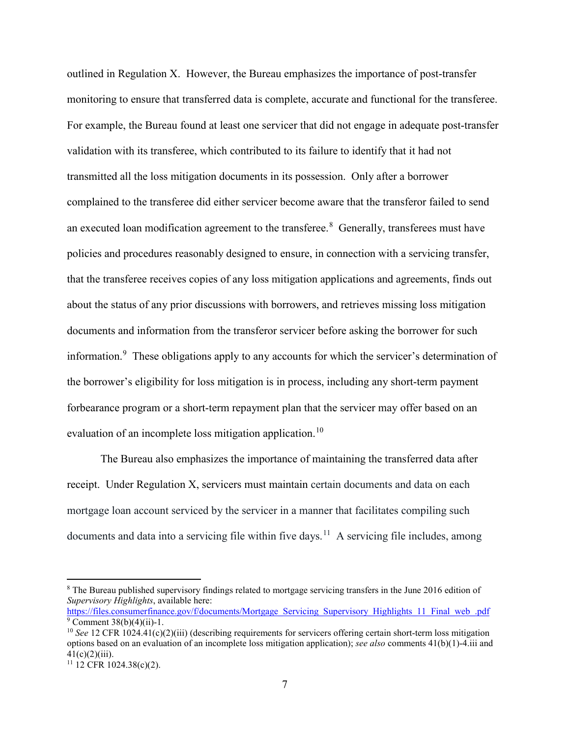outlined in Regulation X. However, the Bureau emphasizes the importance of post-transfer monitoring to ensure that transferred data is complete, accurate and functional for the transferee. For example, the Bureau found at least one servicer that did not engage in adequate post-transfer validation with its transferee, which contributed to its failure to identify that it had not transmitted all the loss mitigation documents in its possession. Only after a borrower complained to the transferee did either servicer become aware that the transferor failed to send an executed loan modification agreement to the transferee.<sup>[8](#page-6-0)</sup> Generally, transferees must have policies and procedures reasonably designed to ensure, in connection with a servicing transfer, that the transferee receives copies of any loss mitigation applications and agreements, finds out about the status of any prior discussions with borrowers, and retrieves missing loss mitigation documents and information from the transferor servicer before asking the borrower for such information.<sup>[9](#page-6-1)</sup> These obligations apply to any accounts for which the servicer's determination of the borrower's eligibility for loss mitigation is in process, including any short-term payment forbearance program or a short-term repayment plan that the servicer may offer based on an evaluation of an incomplete loss mitigation application.<sup>[10](#page-6-2)</sup>

The Bureau also emphasizes the importance of maintaining the transferred data after receipt. Under Regulation X, servicers must maintain certain documents and data on each mortgage loan account serviced by the servicer in a manner that facilitates compiling such documents and data into a servicing file within five days.<sup>[11](#page-6-3)</sup> A servicing file includes, among

<span id="page-6-0"></span> <sup>8</sup> The Bureau published supervisory findings related to mortgage servicing transfers in the June 2016 edition of *Supervisory Highlights*, available here:

<span id="page-6-1"></span>[https://files.consumerfinance.gov/f/documents/Mortgage\\_Servicing\\_Supervisory\\_Highlights\\_11\\_Final\\_web\\_.pdf](https://files.consumerfinance.gov/f/documents/Mortgage_Servicing_Supervisory_Highlights_11_Final_web_.pdf)  $9$  Comment 38(b)(4)(ii)-1.

<span id="page-6-2"></span><sup>&</sup>lt;sup>10</sup> *See* 12 CFR 1024.41(c)(2)(iii) (describing requirements for servicers offering certain short-term loss mitigation options based on an evaluation of an incomplete loss mitigation application); *see also* comments 41(b)(1)-4.iii and  $41(c)(2)(iii)$ .

<span id="page-6-3"></span> $11$  12 CFR 1024.38(c)(2).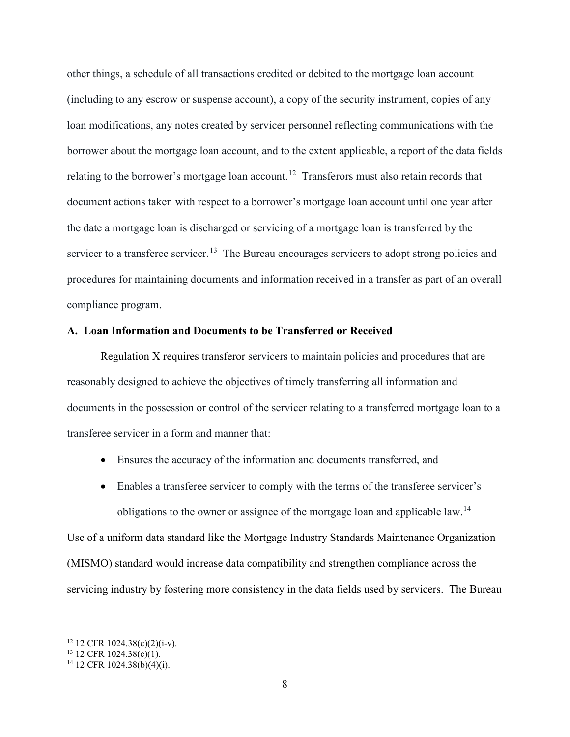other things, a schedule of all transactions credited or debited to the mortgage loan account (including to any escrow or suspense account), a copy of the security instrument, copies of any loan modifications, any notes created by servicer personnel reflecting communications with the borrower about the mortgage loan account, and to the extent applicable, a report of the data fields relating to the borrower's mortgage loan account.<sup>[12](#page-7-0)</sup> Transferors must also retain records that document actions taken with respect to a borrower's mortgage loan account until one year after the date a mortgage loan is discharged or servicing of a mortgage loan is transferred by the servicer to a transferee servicer.<sup>[13](#page-7-1)</sup> The Bureau encourages servicers to adopt strong policies and procedures for maintaining documents and information received in a transfer as part of an overall compliance program.

#### **A. Loan Information and Documents to be Transferred or Received**

Regulation X requires transferor servicers to maintain policies and procedures that are reasonably designed to achieve the objectives of timely transferring all information and documents in the possession or control of the servicer relating to a transferred mortgage loan to a transferee servicer in a form and manner that:

- Ensures the accuracy of the information and documents transferred, and
- Enables a transferee servicer to comply with the terms of the transferee servicer's obligations to the owner or assignee of the mortgage loan and applicable law.<sup>[14](#page-7-2)</sup>

Use of a uniform data standard like the Mortgage Industry Standards Maintenance Organization (MISMO) standard would increase data compatibility and strengthen compliance across the servicing industry by fostering more consistency in the data fields used by servicers. The Bureau

<span id="page-7-0"></span> $12$  12 CFR 1024.38(c)(2)(i-v).

<span id="page-7-1"></span> $13$  12 CFR 1024.38(c)(1).

<span id="page-7-2"></span> $14$  12 CFR 1024.38(b)(4)(i).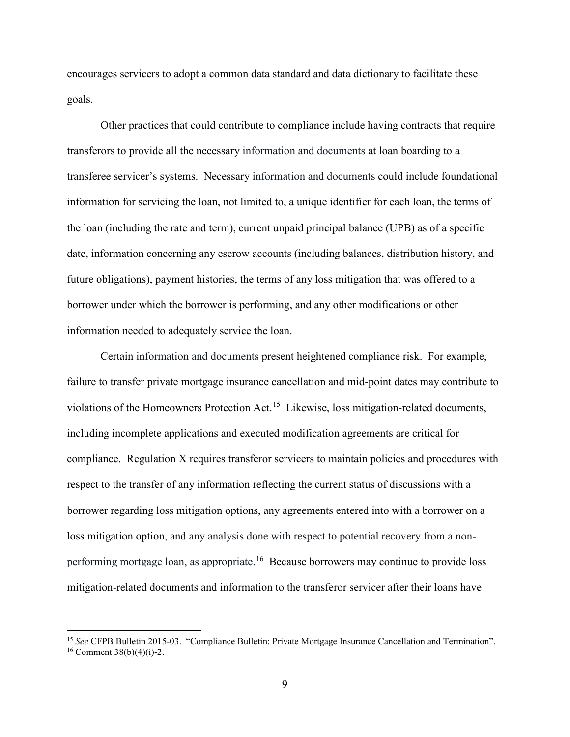encourages servicers to adopt a common data standard and data dictionary to facilitate these goals.

Other practices that could contribute to compliance include having contracts that require transferors to provide all the necessary information and documents at loan boarding to a transferee servicer's systems. Necessary information and documents could include foundational information for servicing the loan, not limited to, a unique identifier for each loan, the terms of the loan (including the rate and term), current unpaid principal balance (UPB) as of a specific date, information concerning any escrow accounts (including balances, distribution history, and future obligations), payment histories, the terms of any loss mitigation that was offered to a borrower under which the borrower is performing, and any other modifications or other information needed to adequately service the loan.

Certain information and documents present heightened compliance risk. For example, failure to transfer private mortgage insurance cancellation and mid-point dates may contribute to violations of the Homeowners Protection Act.<sup>[15](#page-8-0)</sup> Likewise, loss mitigation-related documents, including incomplete applications and executed modification agreements are critical for compliance. Regulation X requires transferor servicers to maintain policies and procedures with respect to the transfer of any information reflecting the current status of discussions with a borrower regarding loss mitigation options, any agreements entered into with a borrower on a loss mitigation option, and any analysis done with respect to potential recovery from a nonperforming mortgage loan, as appropriate. [16](#page-8-1) Because borrowers may continue to provide loss mitigation-related documents and information to the transferor servicer after their loans have

<span id="page-8-1"></span><span id="page-8-0"></span> <sup>15</sup> *See* CFPB Bulletin 2015-03. "Compliance Bulletin: Private Mortgage Insurance Cancellation and Termination".  $16$  Comment 38(b)(4)(i)-2.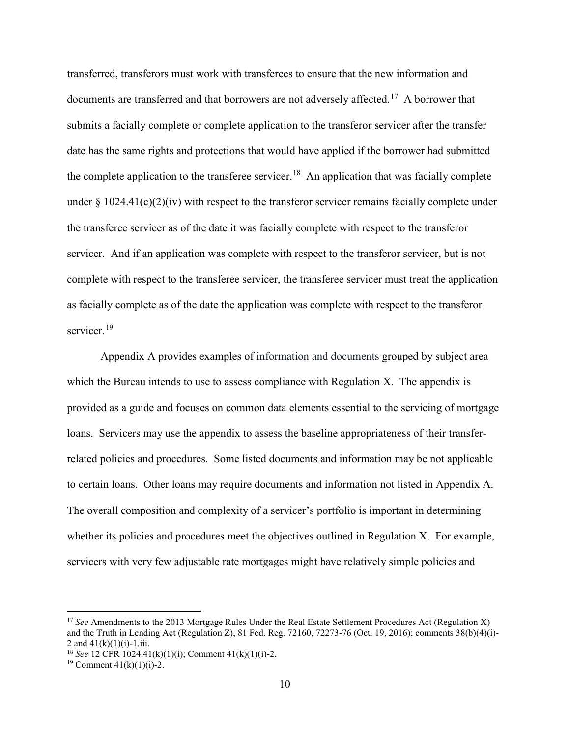transferred, transferors must work with transferees to ensure that the new information and documents are transferred and that borrowers are not adversely affected.<sup>[17](#page-9-0)</sup> A borrower that submits a facially complete or complete application to the transferor servicer after the transfer date has the same rights and protections that would have applied if the borrower had submitted the complete application to the transferee servicer.<sup>[18](#page-9-1)</sup> An application that was facially complete under  $\S 1024.41(c)(2)(iv)$  with respect to the transferor servicer remains facially complete under the transferee servicer as of the date it was facially complete with respect to the transferor servicer. And if an application was complete with respect to the transferor servicer, but is not complete with respect to the transferee servicer, the transferee servicer must treat the application as facially complete as of the date the application was complete with respect to the transferor servicer.<sup>[19](#page-9-2)</sup>

Appendix A provides examples of information and documents grouped by subject area which the Bureau intends to use to assess compliance with Regulation X. The appendix is provided as a guide and focuses on common data elements essential to the servicing of mortgage loans. Servicers may use the appendix to assess the baseline appropriateness of their transferrelated policies and procedures. Some listed documents and information may be not applicable to certain loans. Other loans may require documents and information not listed in Appendix A. The overall composition and complexity of a servicer's portfolio is important in determining whether its policies and procedures meet the objectives outlined in Regulation X. For example, servicers with very few adjustable rate mortgages might have relatively simple policies and

<span id="page-9-0"></span><sup>&</sup>lt;sup>17</sup> See Amendments to the 2013 Mortgage Rules Under the Real Estate Settlement Procedures Act (Regulation X) and the Truth in Lending Act (Regulation Z), 81 Fed. Reg. 72160, 72273-76 (Oct. 19, 2016); comments 38(b)(4)(i)- 2 and  $41(k)(1)(i) - 1.1i$ .

<span id="page-9-1"></span><sup>18</sup> *See* 12 CFR 1024.41(k)(1)(i); Comment 41(k)(1)(i)-2.

<span id="page-9-2"></span><sup>&</sup>lt;sup>19</sup> Comment  $41(k)(1)(i)-2$ .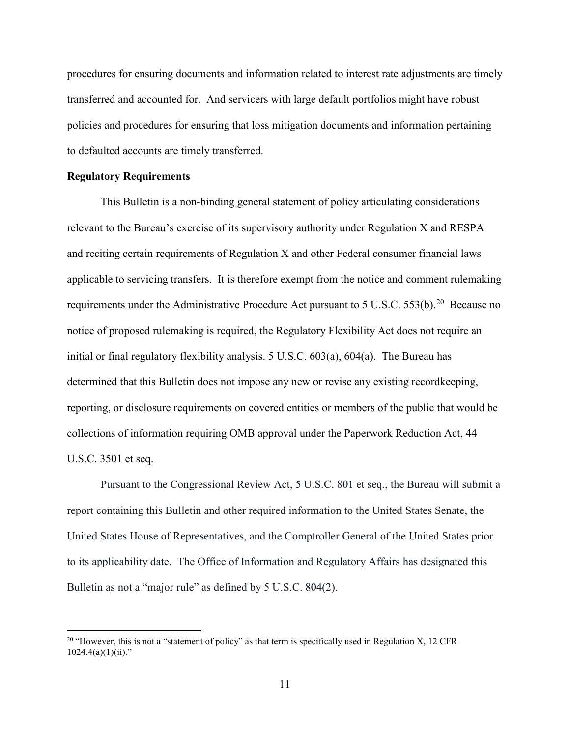procedures for ensuring documents and information related to interest rate adjustments are timely transferred and accounted for. And servicers with large default portfolios might have robust policies and procedures for ensuring that loss mitigation documents and information pertaining to defaulted accounts are timely transferred.

### **Regulatory Requirements**

This Bulletin is a non-binding general statement of policy articulating considerations relevant to the Bureau's exercise of its supervisory authority under Regulation X and RESPA and reciting certain requirements of Regulation X and other Federal consumer financial laws applicable to servicing transfers. It is therefore exempt from the notice and comment rulemaking requirements under the Administrative Procedure Act pursuant to 5 U.S.C. 553(b).<sup>[20](#page-10-0)</sup> Because no notice of proposed rulemaking is required, the Regulatory Flexibility Act does not require an initial or final regulatory flexibility analysis. 5 U.S.C. 603(a), 604(a). The Bureau has determined that this Bulletin does not impose any new or revise any existing recordkeeping, reporting, or disclosure requirements on covered entities or members of the public that would be collections of information requiring OMB approval under the Paperwork Reduction Act, 44 U.S.C. 3501 et seq.

Pursuant to the Congressional Review Act, 5 U.S.C. 801 et seq., the Bureau will submit a report containing this Bulletin and other required information to the United States Senate, the United States House of Representatives, and the Comptroller General of the United States prior to its applicability date. The Office of Information and Regulatory Affairs has designated this Bulletin as not a "major rule" as defined by 5 U.S.C. 804(2).

<span id="page-10-0"></span><sup>&</sup>lt;sup>20</sup> "However, this is not a "statement of policy" as that term is specifically used in Regulation X, 12 CFR  $1024.4(a)(1)(ii)$ ."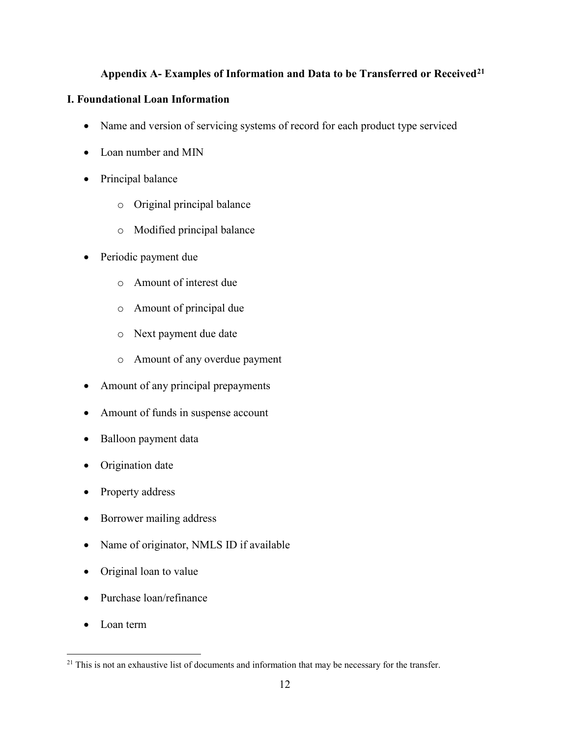# **Appendix A- Examples of Information and Data to be Transferred or Received[21](#page-11-0)**

# **I. Foundational Loan Information**

- Name and version of servicing systems of record for each product type serviced
- Loan number and MIN
- Principal balance
	- o Original principal balance
	- o Modified principal balance
- Periodic payment due
	- o Amount of interest due
	- o Amount of principal due
	- o Next payment due date
	- o Amount of any overdue payment
- Amount of any principal prepayments
- Amount of funds in suspense account
- Balloon payment data
- Origination date
- Property address
- Borrower mailing address
- Name of originator, NMLS ID if available
- Original loan to value
- Purchase loan/refinance
- Loan term

<span id="page-11-0"></span><sup>&</sup>lt;sup>21</sup> This is not an exhaustive list of documents and information that may be necessary for the transfer.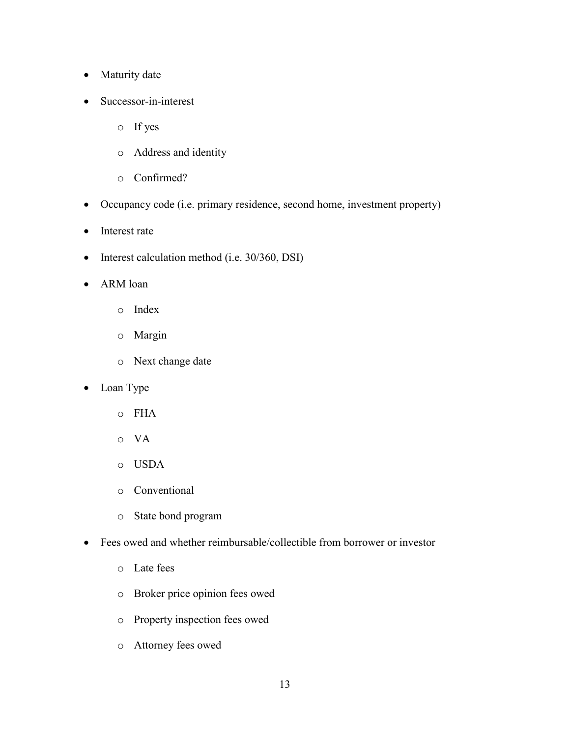- Maturity date
- Successor-in-interest
	- o If yes
	- o Address and identity
	- o Confirmed?
- Occupancy code (i.e. primary residence, second home, investment property)
- Interest rate
- Interest calculation method (i.e. 30/360, DSI)
- ARM loan
	- o Index
	- o Margin
	- o Next change date
- Loan Type
	- o FHA
	- o VA
	- o USDA
	- o Conventional
	- o State bond program
- Fees owed and whether reimbursable/collectible from borrower or investor
	- o Late fees
	- o Broker price opinion fees owed
	- o Property inspection fees owed
	- o Attorney fees owed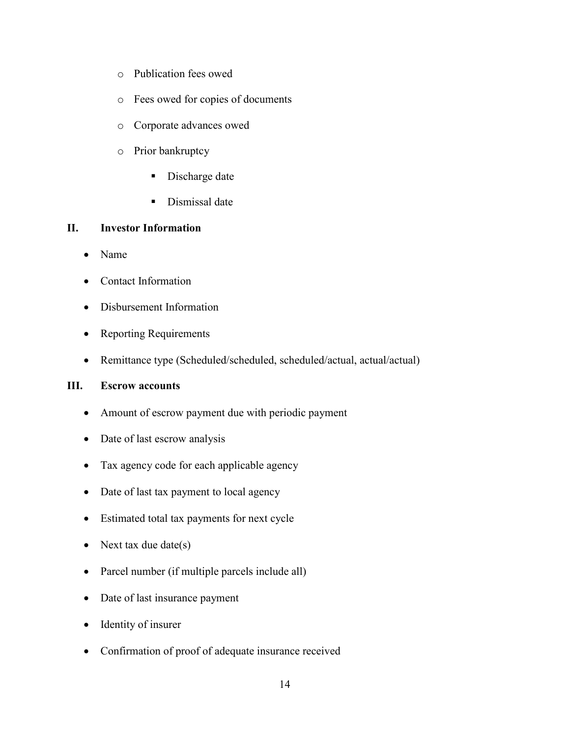- o Publication fees owed
- o Fees owed for copies of documents
- o Corporate advances owed
- o Prior bankruptcy
	- Discharge date
	- **Dismissal date**

### **II. Investor Information**

- Name
- Contact Information
- Disbursement Information
- Reporting Requirements
- Remittance type (Scheduled/scheduled, scheduled/actual, actual/actual)

### **III. Escrow accounts**

- Amount of escrow payment due with periodic payment
- Date of last escrow analysis
- Tax agency code for each applicable agency
- Date of last tax payment to local agency
- Estimated total tax payments for next cycle
- Next tax due date(s)
- Parcel number (if multiple parcels include all)
- Date of last insurance payment
- Identity of insurer
- Confirmation of proof of adequate insurance received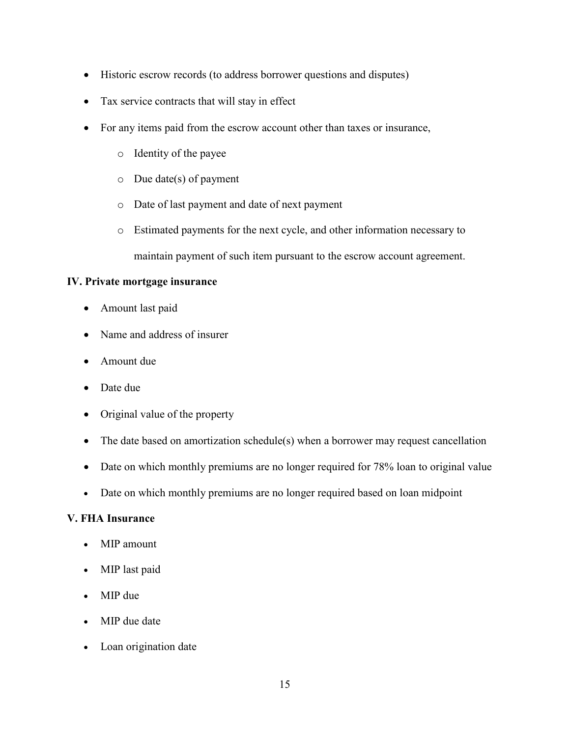- Historic escrow records (to address borrower questions and disputes)
- Tax service contracts that will stay in effect
- For any items paid from the escrow account other than taxes or insurance,
	- o Identity of the payee
	- o Due date(s) of payment
	- o Date of last payment and date of next payment
	- o Estimated payments for the next cycle, and other information necessary to maintain payment of such item pursuant to the escrow account agreement.

## **IV. Private mortgage insurance**

- Amount last paid
- Name and address of insurer
- Amount due
- Date due
- Original value of the property
- The date based on amortization schedule(s) when a borrower may request cancellation
- Date on which monthly premiums are no longer required for 78% loan to original value
- Date on which monthly premiums are no longer required based on loan midpoint

# **V. FHA Insurance**

- MIP amount
- MIP last paid
- MIP due
- MIP due date
- Loan origination date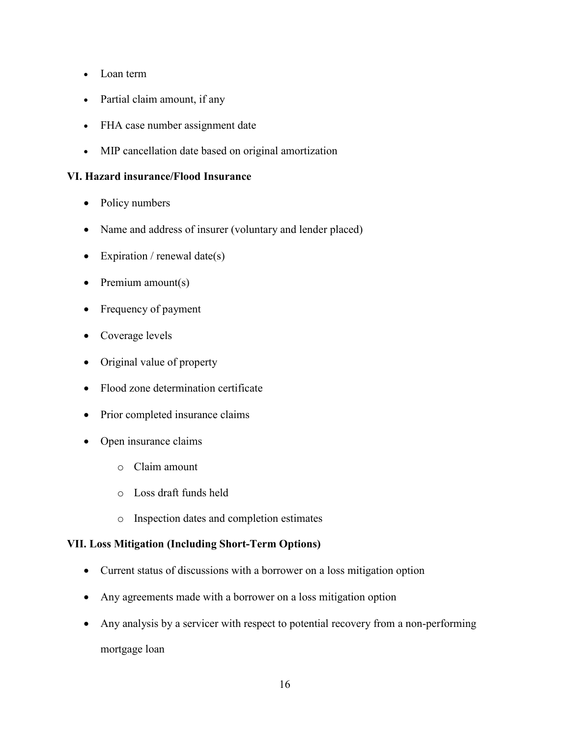- Loan term
- Partial claim amount, if any
- FHA case number assignment date
- MIP cancellation date based on original amortization

## **VI. Hazard insurance/Flood Insurance**

- Policy numbers
- Name and address of insurer (voluntary and lender placed)
- Expiration / renewal date(s)
- Premium amount(s)
- Frequency of payment
- Coverage levels
- Original value of property
- Flood zone determination certificate
- Prior completed insurance claims
- Open insurance claims
	- o Claim amount
	- o Loss draft funds held
	- o Inspection dates and completion estimates

## **VII. Loss Mitigation (Including Short-Term Options)**

- Current status of discussions with a borrower on a loss mitigation option
- Any agreements made with a borrower on a loss mitigation option
- Any analysis by a servicer with respect to potential recovery from a non-performing mortgage loan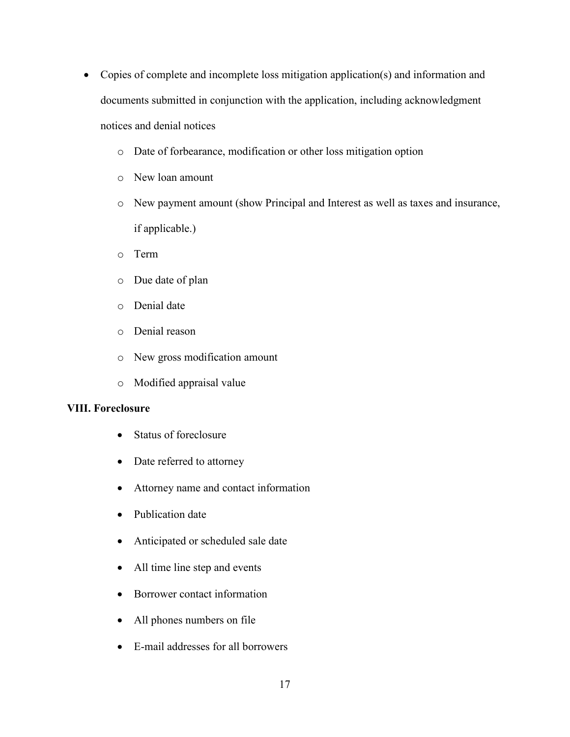- Copies of complete and incomplete loss mitigation application(s) and information and documents submitted in conjunction with the application, including acknowledgment notices and denial notices
	- o Date of forbearance, modification or other loss mitigation option
	- o New loan amount
	- o New payment amount (show Principal and Interest as well as taxes and insurance, if applicable.)
	- o Term
	- o Due date of plan
	- o Denial date
	- o Denial reason
	- o New gross modification amount
	- o Modified appraisal value

#### **VIII. Foreclosure**

- Status of foreclosure
- Date referred to attorney
- Attorney name and contact information
- Publication date
- Anticipated or scheduled sale date
- All time line step and events
- Borrower contact information
- All phones numbers on file
- E-mail addresses for all borrowers